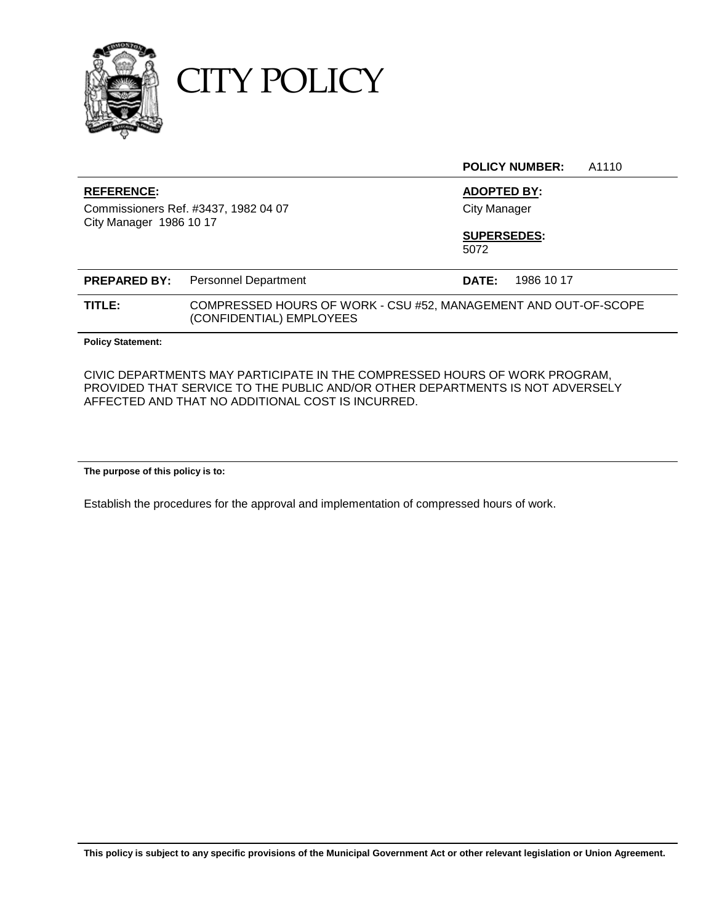

CITY POLICY

**POLICY NUMBER:** A1110

#### **REFERENCE: ADOPTED BY:**

Commissioners Ref. #3437, 1982 04 07 City Manager City Manager 1986 10 17

**SUPERSEDES:**

5072

|        | <b>PREPARED BY:</b> Personnel Department                                                    | DATE: | 1986 10 17 |
|--------|---------------------------------------------------------------------------------------------|-------|------------|
| TITLE: | COMPRESSED HOURS OF WORK - CSU #52, MANAGEMENT AND OUT-OF-SCOPE<br>(CONFIDENTIAL) EMPLOYEES |       |            |

**Policy Statement:**

CIVIC DEPARTMENTS MAY PARTICIPATE IN THE COMPRESSED HOURS OF WORK PROGRAM, PROVIDED THAT SERVICE TO THE PUBLIC AND/OR OTHER DEPARTMENTS IS NOT ADVERSELY AFFECTED AND THAT NO ADDITIONAL COST IS INCURRED.

**The purpose of this policy is to:**

Establish the procedures for the approval and implementation of compressed hours of work.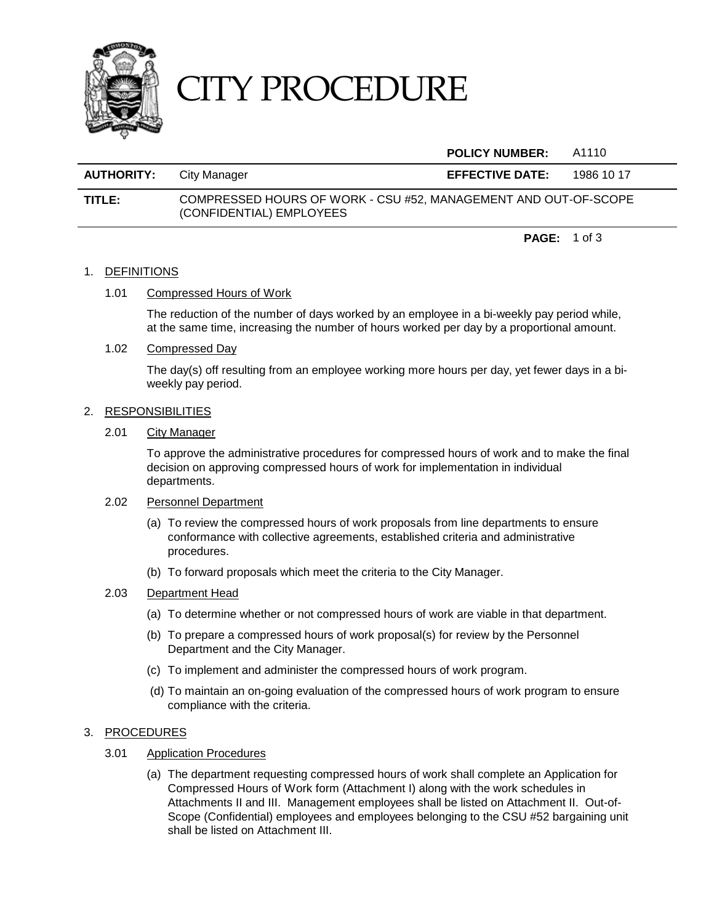

# CITY PROCEDURE

#### **POLICY NUMBER:** A1110

| <b>AUTHORITY:</b> | City Manager                                                                                | <b>EFFECTIVE DATE:</b> | 1986 10 17 |
|-------------------|---------------------------------------------------------------------------------------------|------------------------|------------|
| TITLE:            | COMPRESSED HOURS OF WORK - CSU #52, MANAGEMENT AND OUT-OF-SCOPE<br>(CONFIDENTIAL) EMPLOYEES |                        |            |

**PAGE:** 1 of 3

#### 1. DEFINITIONS

#### 1.01 Compressed Hours of Work

The reduction of the number of days worked by an employee in a bi-weekly pay period while, at the same time, increasing the number of hours worked per day by a proportional amount.

#### 1.02 Compressed Day

The day(s) off resulting from an employee working more hours per day, yet fewer days in a biweekly pay period.

#### 2. RESPONSIBILITIES

#### 2.01 City Manager

To approve the administrative procedures for compressed hours of work and to make the final decision on approving compressed hours of work for implementation in individual departments.

#### 2.02 Personnel Department

- (a) To review the compressed hours of work proposals from line departments to ensure conformance with collective agreements, established criteria and administrative procedures.
- (b) To forward proposals which meet the criteria to the City Manager.

#### 2.03 Department Head

- (a) To determine whether or not compressed hours of work are viable in that department.
- (b) To prepare a compressed hours of work proposal(s) for review by the Personnel Department and the City Manager.
- (c) To implement and administer the compressed hours of work program.
- (d) To maintain an on-going evaluation of the compressed hours of work program to ensure compliance with the criteria.

#### 3. PROCEDURES

- 3.01 Application Procedures
	- (a) The department requesting compressed hours of work shall complete an Application for Compressed Hours of Work form (Attachment I) along with the work schedules in Attachments II and III. Management employees shall be listed on Attachment II. Out-of-Scope (Confidential) employees and employees belonging to the CSU #52 bargaining unit shall be listed on Attachment III.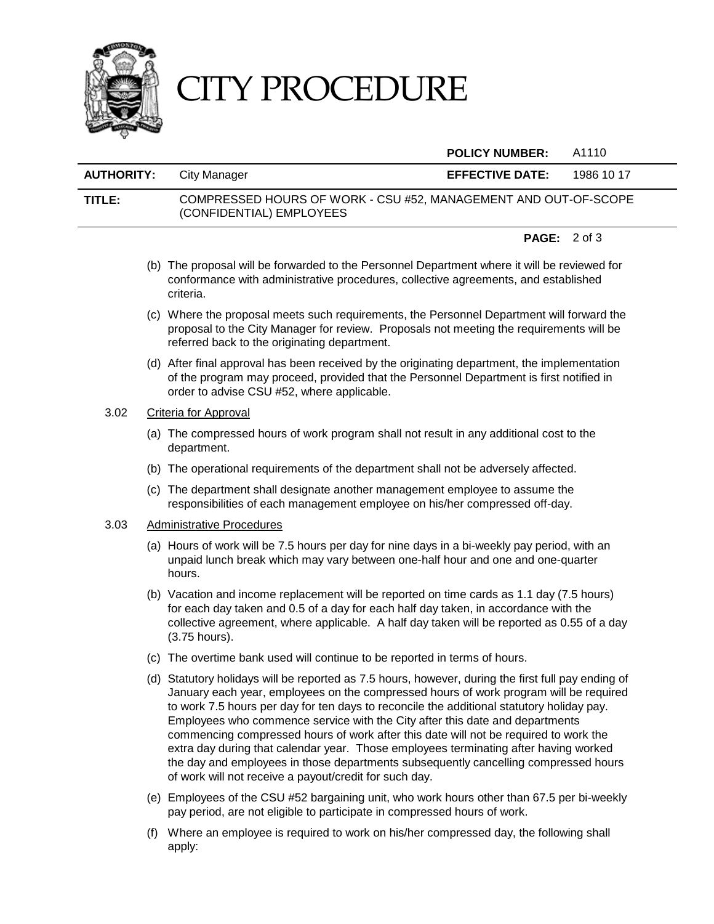

# CITY PROCEDURE

#### **POLICY NUMBER:** A1110

## **AUTHORITY:** City Manager **EFFECTIVE DATE:** 1986 10 17 **TITLE:** COMPRESSED HOURS OF WORK - CSU #52, MANAGEMENT AND OUT-OF-SCOPE (CONFIDENTIAL) EMPLOYEES

#### **PAGE:** 2 of 3

- (b) The proposal will be forwarded to the Personnel Department where it will be reviewed for conformance with administrative procedures, collective agreements, and established criteria.
- (c) Where the proposal meets such requirements, the Personnel Department will forward the proposal to the City Manager for review. Proposals not meeting the requirements will be referred back to the originating department.
- (d) After final approval has been received by the originating department, the implementation of the program may proceed, provided that the Personnel Department is first notified in order to advise CSU #52, where applicable.

#### 3.02 Criteria for Approval

- (a) The compressed hours of work program shall not result in any additional cost to the department.
- (b) The operational requirements of the department shall not be adversely affected.
- (c) The department shall designate another management employee to assume the responsibilities of each management employee on his/her compressed off-day.

#### 3.03 Administrative Procedures

- (a) Hours of work will be 7.5 hours per day for nine days in a bi-weekly pay period, with an unpaid lunch break which may vary between one-half hour and one and one-quarter hours.
- (b) Vacation and income replacement will be reported on time cards as 1.1 day (7.5 hours) for each day taken and 0.5 of a day for each half day taken, in accordance with the collective agreement, where applicable. A half day taken will be reported as 0.55 of a day (3.75 hours).
- (c) The overtime bank used will continue to be reported in terms of hours.
- (d) Statutory holidays will be reported as 7.5 hours, however, during the first full pay ending of January each year, employees on the compressed hours of work program will be required to work 7.5 hours per day for ten days to reconcile the additional statutory holiday pay. Employees who commence service with the City after this date and departments commencing compressed hours of work after this date will not be required to work the extra day during that calendar year. Those employees terminating after having worked the day and employees in those departments subsequently cancelling compressed hours of work will not receive a payout/credit for such day.
- (e) Employees of the CSU #52 bargaining unit, who work hours other than 67.5 per bi-weekly pay period, are not eligible to participate in compressed hours of work.
- (f) Where an employee is required to work on his/her compressed day, the following shall apply: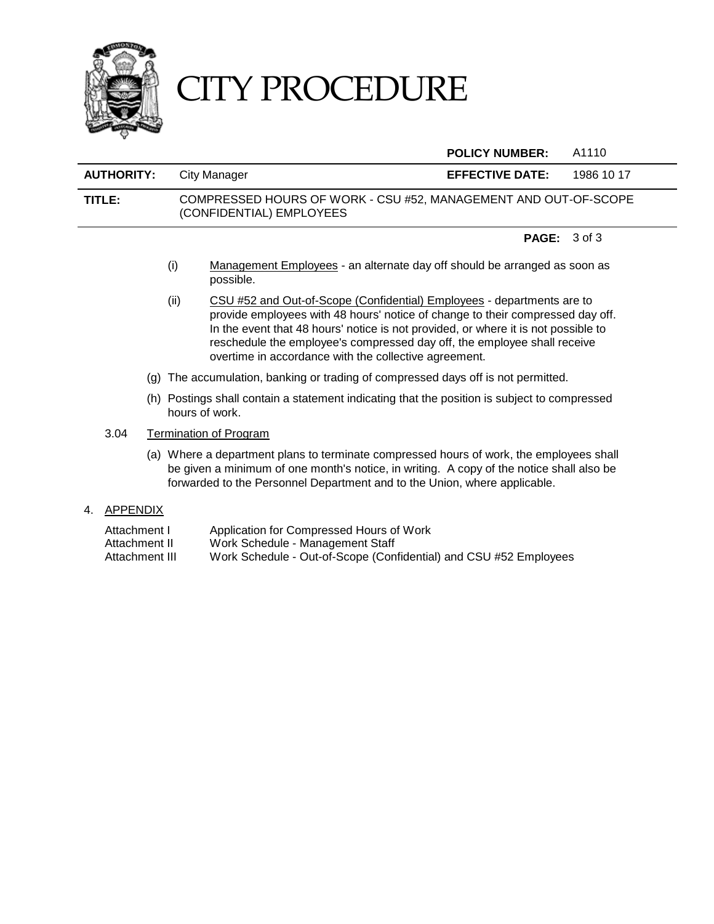

# CITY PROCEDURE

**POLICY NUMBER:** A1110

# **AUTHORITY:** City Manager **EFFECTIVE DATE:** 1986 10 17 **TITLE:** COMPRESSED HOURS OF WORK - CSU #52, MANAGEMENT AND OUT-OF-SCOPE (CONFIDENTIAL) EMPLOYEES

#### **PAGE:** 3 of 3

- (i) Management Employees an alternate day off should be arranged as soon as possible.
- (ii) CSU #52 and Out-of-Scope (Confidential) Employees departments are to provide employees with 48 hours' notice of change to their compressed day off. In the event that 48 hours' notice is not provided, or where it is not possible to reschedule the employee's compressed day off, the employee shall receive overtime in accordance with the collective agreement.
- (g) The accumulation, banking or trading of compressed days off is not permitted.
- (h) Postings shall contain a statement indicating that the position is subject to compressed hours of work.

#### 3.04 Termination of Program

- (a) Where a department plans to terminate compressed hours of work, the employees shall be given a minimum of one month's notice, in writing. A copy of the notice shall also be forwarded to the Personnel Department and to the Union, where applicable.
- 4. APPENDIX
	- Attachment I Application for Compressed Hours of Work Attachment II Mork Schedule - Management Staff<br>Attachment III Mork Schedule - Out-of-Scope (Con
	- Work Schedule Out-of-Scope (Confidential) and CSU #52 Employees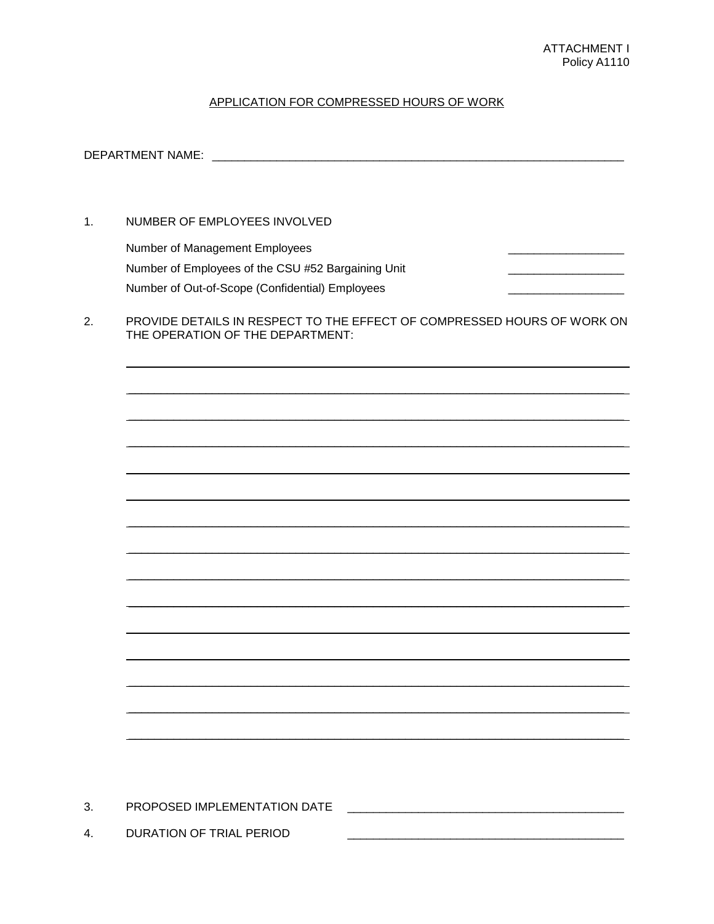#### APPLICATION FOR COMPRESSED HOURS OF WORK

DEPARTMENT NAME: WARD AND THE STATE OF THE STATE OF THE STATE OF THE STATE OF THE STATE OF THE STATE OF THE STATE OF THE STATE OF THE STATE OF THE STATE OF THE STATE OF THE STATE OF THE STATE OF THE STATE OF THE STATE OF T  $1.$ NUMBER OF EMPLOYEES INVOLVED Number of Management Employees Number of Employees of the CSU #52 Bargaining Unit Number of Out-of-Scope (Confidential) Employees PROVIDE DETAILS IN RESPECT TO THE EFFECT OF COMPRESSED HOURS OF WORK ON  $2.$ THE OPERATION OF THE DEPARTMENT:  $3.$ 

 $4.$ DURATION OF TRIAL PERIOD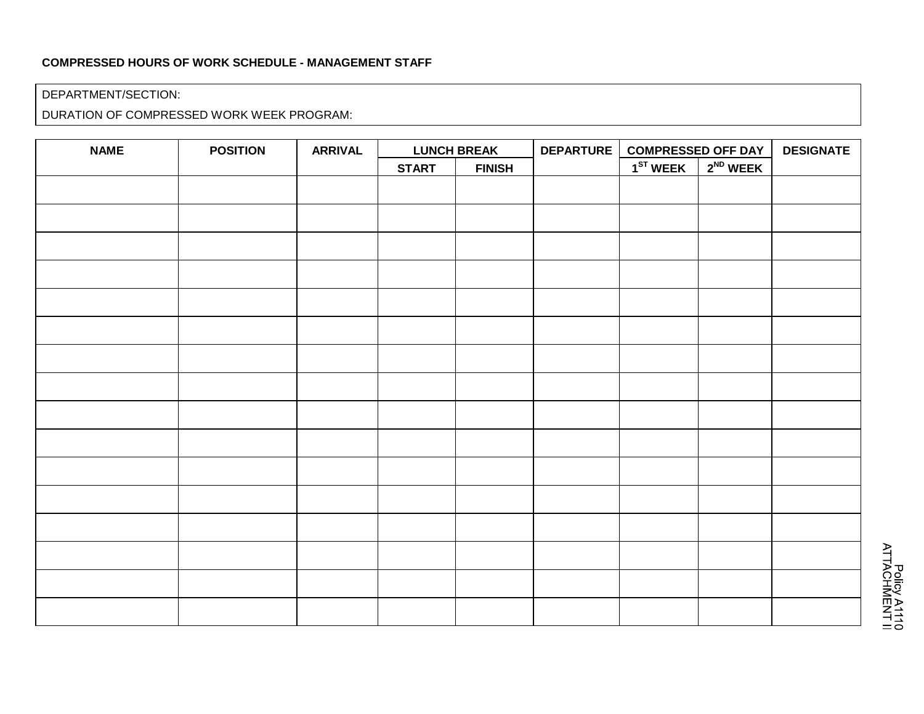### **COMPRESSED HOURS OF WORK SCHEDULE - MANAGEMENT STAFF**

#### DEPARTMENT/SECTION:

DURATION OF COMPRESSED WORK WEEK PROGRAM:

| <b>NAME</b> | <b>POSITION</b> | <b>ARRIVAL</b> | <b>LUNCH BREAK</b> |               | DEPARTURE | <b>COMPRESSED OFF DAY</b> |               | <b>DESIGNATE</b> |
|-------------|-----------------|----------------|--------------------|---------------|-----------|---------------------------|---------------|------------------|
|             |                 |                | <b>START</b>       | <b>FINISH</b> |           | $1ST$ WEEK                | $2^{ND}$ WEEK |                  |
|             |                 |                |                    |               |           |                           |               |                  |
|             |                 |                |                    |               |           |                           |               |                  |
|             |                 |                |                    |               |           |                           |               |                  |
|             |                 |                |                    |               |           |                           |               |                  |
|             |                 |                |                    |               |           |                           |               |                  |
|             |                 |                |                    |               |           |                           |               |                  |
|             |                 |                |                    |               |           |                           |               |                  |
|             |                 |                |                    |               |           |                           |               |                  |
|             |                 |                |                    |               |           |                           |               |                  |
|             |                 |                |                    |               |           |                           |               |                  |
|             |                 |                |                    |               |           |                           |               |                  |
|             |                 |                |                    |               |           |                           |               |                  |
|             |                 |                |                    |               |           |                           |               |                  |
|             |                 |                |                    |               |           |                           |               |                  |
|             |                 |                |                    |               |           |                           |               |                  |
|             |                 |                |                    |               |           |                           |               |                  |
|             |                 |                |                    |               |           |                           |               |                  |
|             |                 |                |                    |               |           |                           |               |                  |

Policy A1110<br>ATTACHMENT II